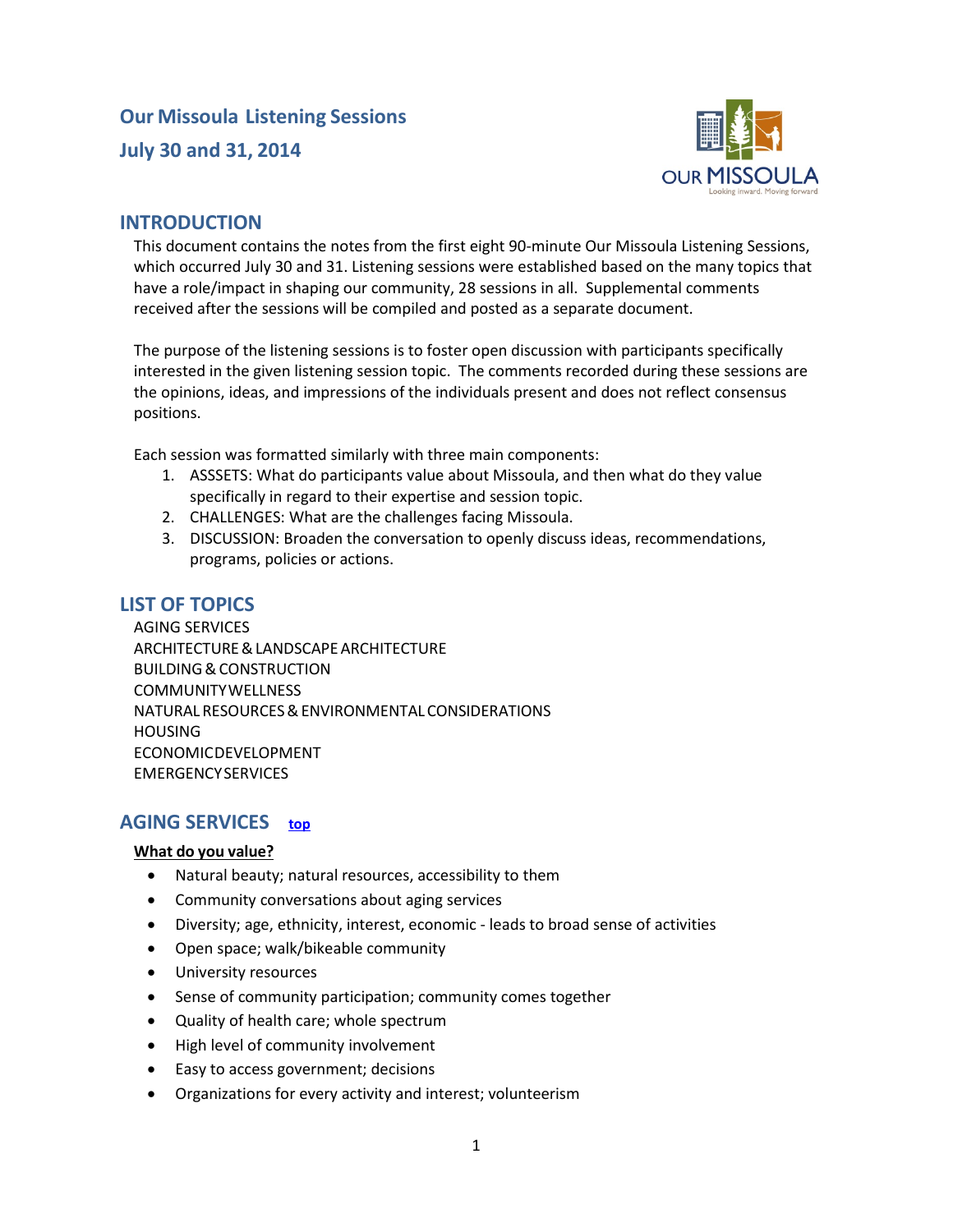# **Our Missoula Listening Sessions July 30 and 31, 2014**



### **INTRODUCTION**

This document contains the notes from the first eight 90-minute Our Missoula Listening Sessions, which occurred July 30 and 31. Listening sessions were established based on the many topics that have a role/impact in shaping our community, 28 sessions in all. Supplemental comments received after the sessions will be compiled and posted as a separate document.

The purpose of the listening sessions is to foster open discussion with participants specifically interested in the given listening session topic. The comments recorded during these sessions are the opinions, ideas, and impressions of the individuals present and does not reflect consensus positions.

Each session was formatted similarly with three main components:

- 1. ASSSETS: What do participants value about Missoula, and then what do they value specifically in regard to their expertise and session topic.
- 2. CHALLENGES: What are the challenges facing Missoula.
- 3. DISCUSSION: Broaden the conversation to openly discuss ideas, recommendations, programs, policies or actions.

### <span id="page-0-1"></span>**LIST OF TOPICS**

[AGING SERVICES](#page-0-0) [ARCHITECTURE&LANDSCAPEARCHITECTURE](#page-3-0) [BUILDING&CONSTRUCTION](#page-5-0) [COMMUNITYWELLNESS](#page-7-0) [NATURALRESOURCES&ENVIRONMENTAL](#page-9-0) CONSIDERATIONS [HOUSING](#page-11-0) [ECONOMICDEVELOPMENT](#page-13-0) **[EMERGENCYSERVICES](#page-16-0)** 

### <span id="page-0-0"></span>**AGING SERVICES [top](#page-0-1)**

#### **What do you value?**

- Natural beauty; natural resources, accessibility to them
- Community conversations about aging services
- Diversity; age, ethnicity, interest, economic leads to broad sense of activities
- Open space; walk/bikeable community
- University resources
- Sense of community participation; community comes together
- Quality of health care; whole spectrum
- High level of community involvement
- Easy to access government; decisions
- Organizations for every activity and interest; volunteerism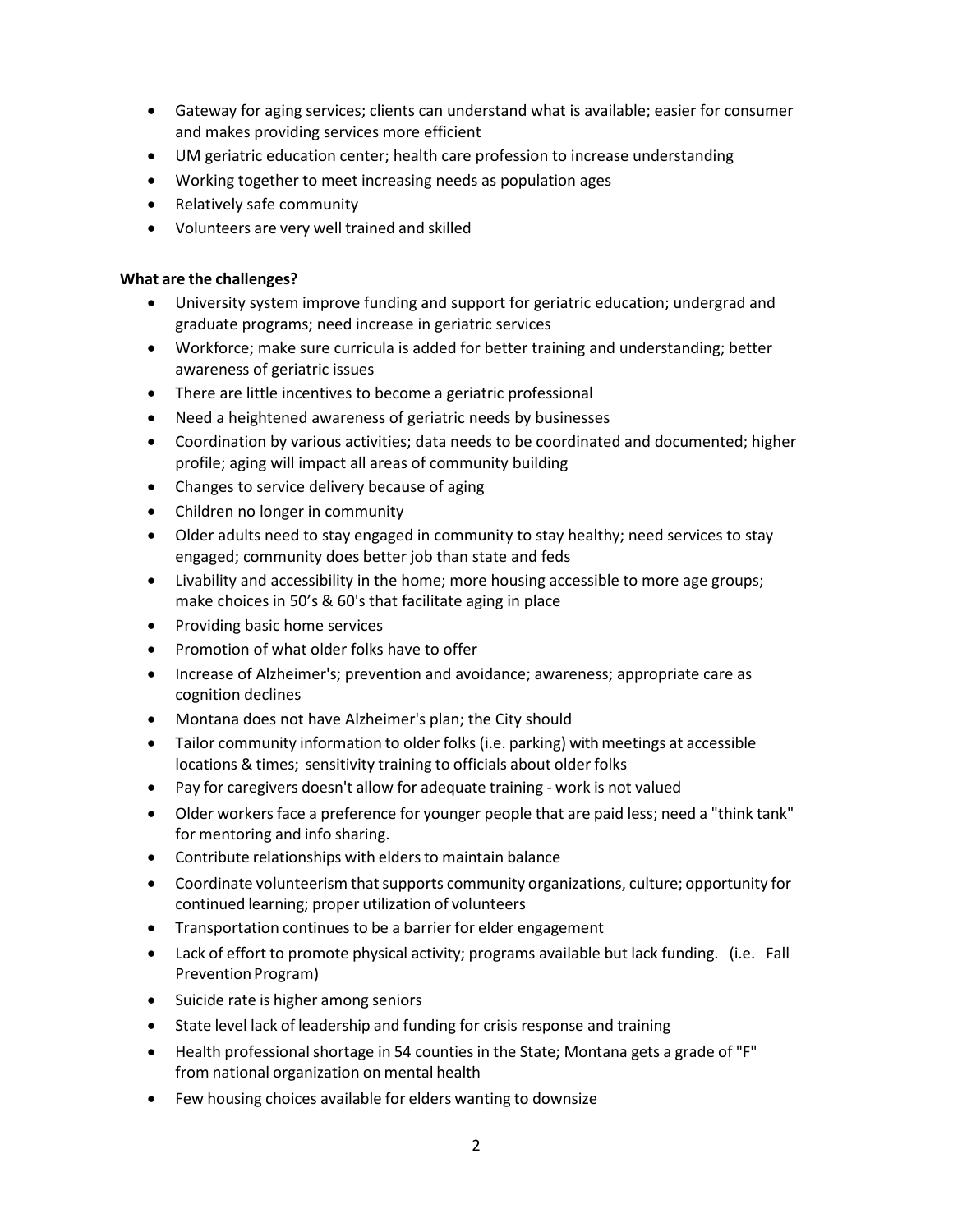- Gateway for aging services; clients can understand what is available; easier for consumer and makes providing services more efficient
- UM geriatric education center; health care profession to increase understanding
- Working together to meet increasing needs as population ages
- Relatively safe community
- Volunteers are very well trained and skilled

- University system improve funding and support for geriatric education; undergrad and graduate programs; need increase in geriatric services
- Workforce; make sure curricula is added for better training and understanding; better awareness of geriatric issues
- There are little incentives to become a geriatric professional
- Need a heightened awareness of geriatric needs by businesses
- Coordination by various activities; data needs to be coordinated and documented; higher profile; aging will impact all areas of community building
- Changes to service delivery because of aging
- Children no longer in community
- Older adults need to stay engaged in community to stay healthy; need services to stay engaged; community does better job than state and feds
- Livability and accessibility in the home; more housing accessible to more age groups; make choices in 50's & 60's that facilitate aging in place
- Providing basic home services
- Promotion of what older folks have to offer
- Increase of Alzheimer's; prevention and avoidance; awareness; appropriate care as cognition declines
- Montana does not have Alzheimer's plan; the City should
- Tailor community information to older folks (i.e. parking) with meetings at accessible locations & times; sensitivity training to officials about older folks
- Pay for caregivers doesn't allow for adequate training work is not valued
- Older workers face a preference for younger people that are paid less; need a "think tank" for mentoring and info sharing.
- Contribute relationships with elders to maintain balance
- Coordinate volunteerism that supports community organizations, culture; opportunity for continued learning; proper utilization of volunteers
- Transportation continues to be a barrier for elder engagement
- Lack of effort to promote physical activity; programs available but lack funding. (i.e. Fall Prevention Program)
- Suicide rate is higher among seniors
- State level lack of leadership and funding for crisis response and training
- Health professional shortage in 54 counties in the State; Montana gets a grade of "F" from national organization on mental health
- Few housing choices available for elders wanting to downsize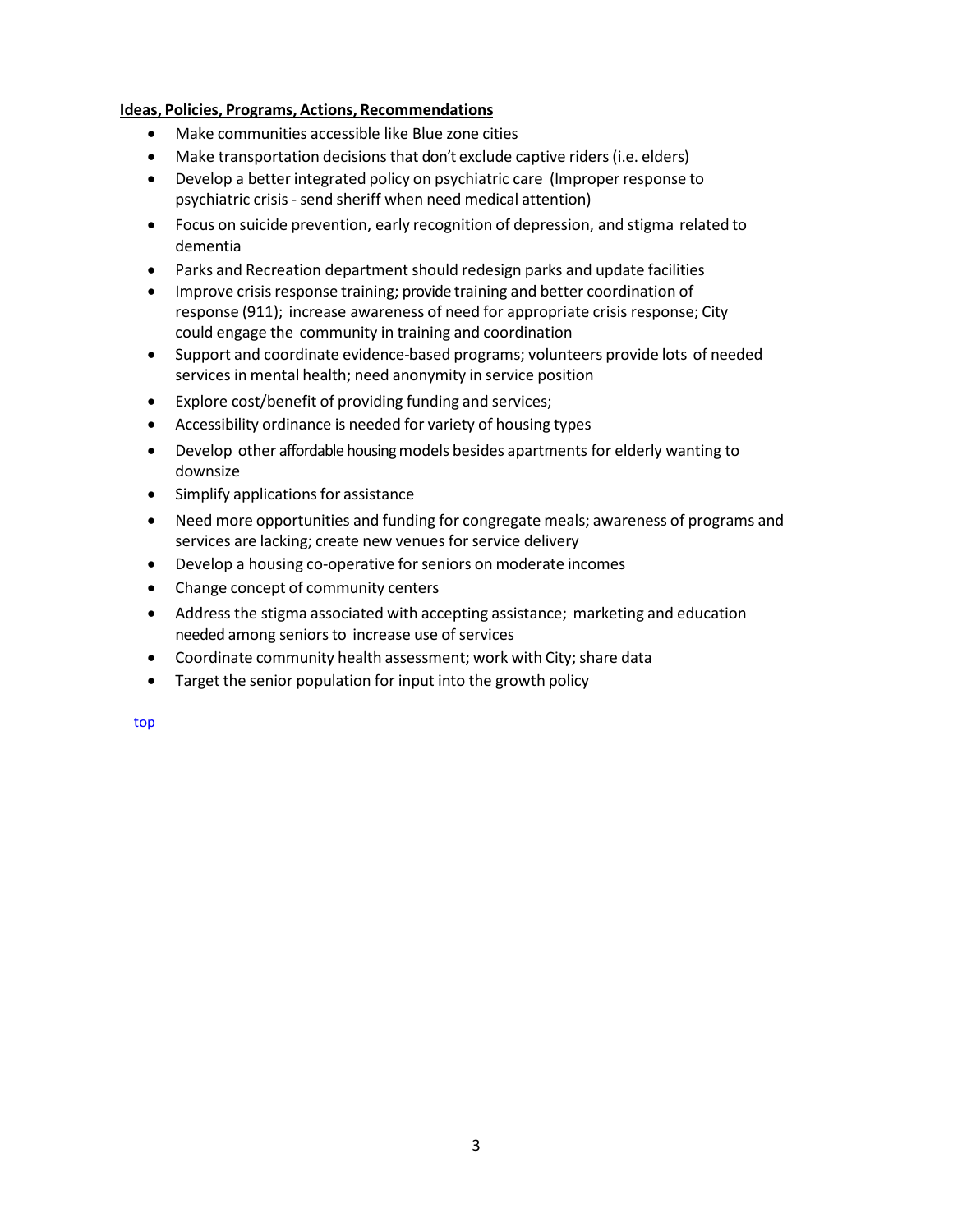- Make communities accessible like Blue zone cities
- Make transportation decisions that don't exclude captive riders (i.e. elders)
- Develop a better integrated policy on psychiatric care (Improper response to psychiatric crisis - send sheriff when need medical attention)
- Focus on suicide prevention, early recognition of depression, and stigma related to dementia
- Parks and Recreation department should redesign parks and update facilities
- Improve crisis response training; provide training and better coordination of response (911); increase awareness of need for appropriate crisis response; City could engage the community in training and coordination
- Support and coordinate evidence-based programs; volunteers provide lots of needed services in mental health; need anonymity in service position
- Explore cost/benefit of providing funding and services;
- Accessibility ordinance is needed for variety of housing types
- Develop other affordable housing models besides apartments for elderly wanting to downsize
- Simplify applications for assistance
- Need more opportunities and funding for congregate meals; awareness of programs and services are lacking; create new venues for service delivery
- Develop a housing co-operative for seniors on moderate incomes
- Change concept of community centers
- Address the stigma associated with accepting assistance; marketing and education needed among seniors to increase use of services
- Coordinate community health assessment; work with City; share data
- Target the senior population for input into the growth policy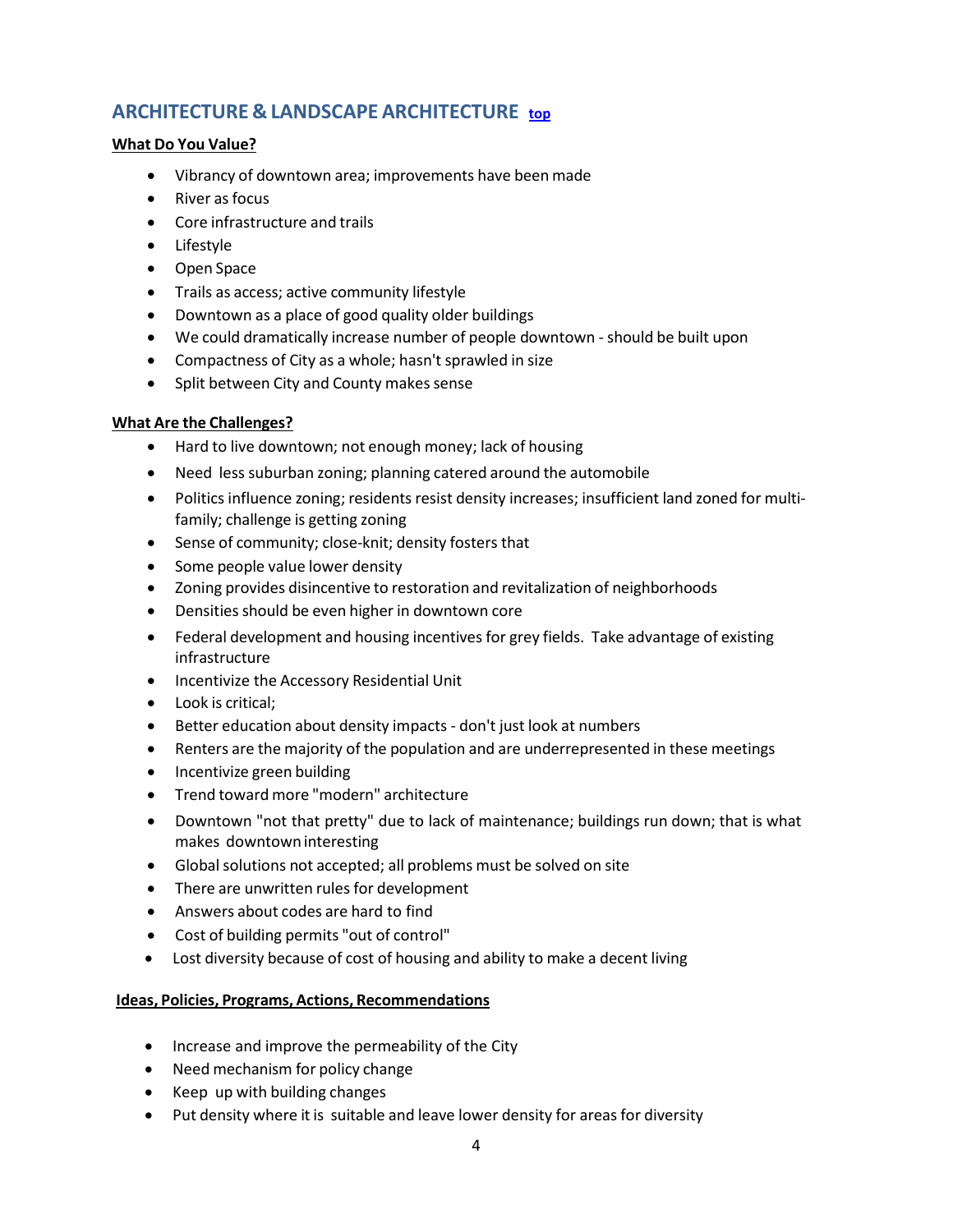# <span id="page-3-0"></span>**ARCHITECTURE & LANDSCAPE ARCHITECTURE [top](#page-0-1)**

#### **What Do You Value?**

- Vibrancy of downtown area; improvements have been made
- River as focus
- Core infrastructure and trails
- Lifestyle
- Open Space
- Trails as access; active community lifestyle
- Downtown as a place of good quality older buildings
- We could dramatically increase number of people downtown should be built upon
- Compactness of City as a whole; hasn't sprawled in size
- Split between City and County makes sense

#### **What Are the Challenges?**

- Hard to live downtown; not enough money; lack of housing
- Need less suburban zoning; planning catered around the automobile
- Politics influence zoning; residents resist density increases; insufficient land zoned for multifamily; challenge is getting zoning
- Sense of community; close-knit; density fosters that
- Some people value lower density
- Zoning provides disincentive to restoration and revitalization of neighborhoods
- Densities should be even higher in downtown core
- Federal development and housing incentives for grey fields. Take advantage of existing infrastructure
- Incentivize the Accessory Residential Unit
- Look is critical;
- Better education about density impacts don't just look at numbers
- Renters are the majority of the population and are underrepresented in these meetings
- Incentivize green building
- Trend toward more "modern" architecture
- Downtown "not that pretty" due to lack of maintenance; buildings run down; that is what makes downtowninteresting
- Global solutions not accepted; all problems must be solved on site
- There are unwritten rules for development
- Answers about codes are hard to find
- Cost of building permits "out of control"
- Lost diversity because of cost of housing and ability to make a decent living

- Increase and improve the permeability of the City
- Need mechanism for policy change
- Keep up with building changes
- Put density where it is suitable and leave lower density for areas for diversity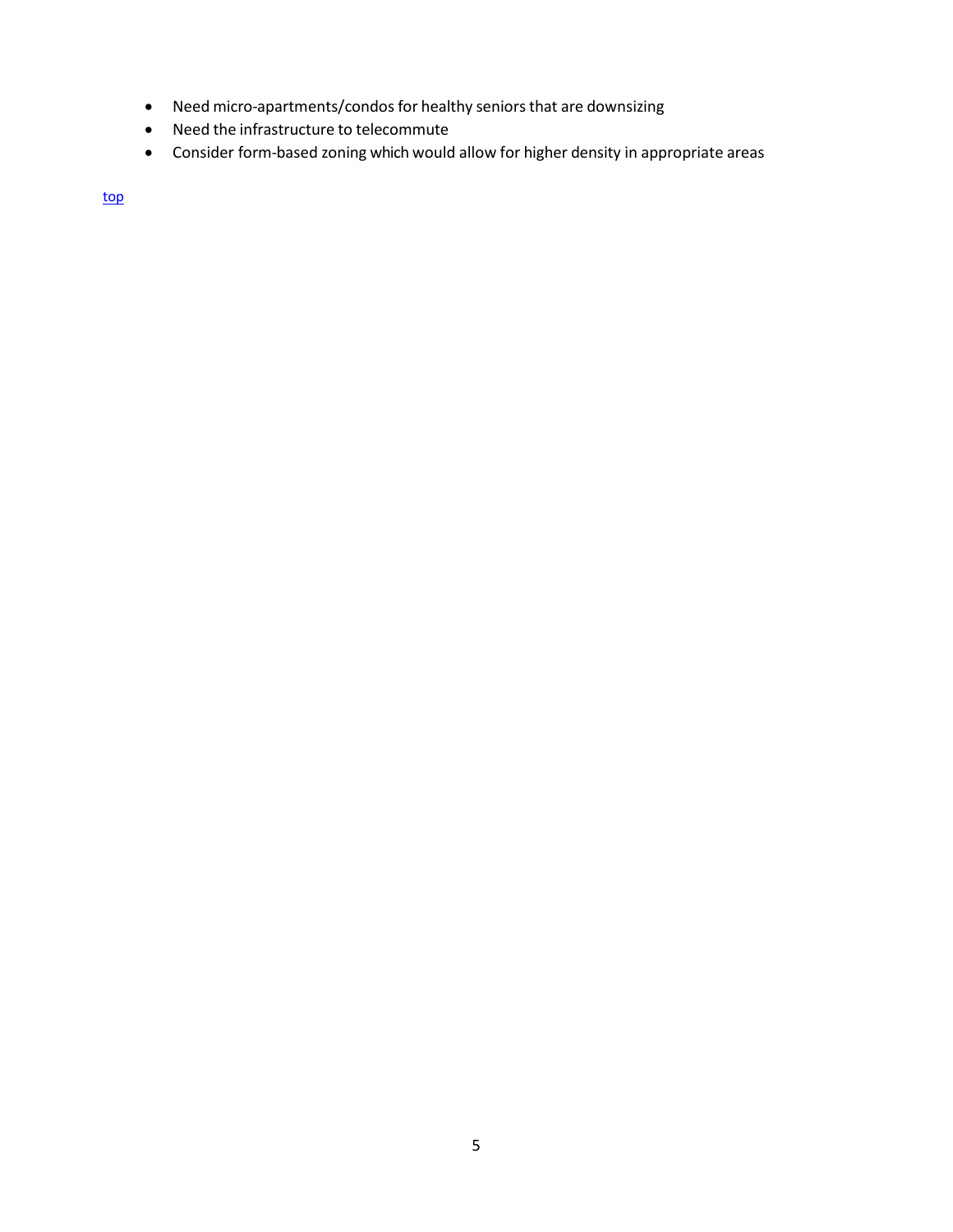- Need micro-apartments/condos for healthy seniors that are downsizing
- Need the infrastructure to telecommute
- Consider form-based zoning which would allow for higher density in appropriate areas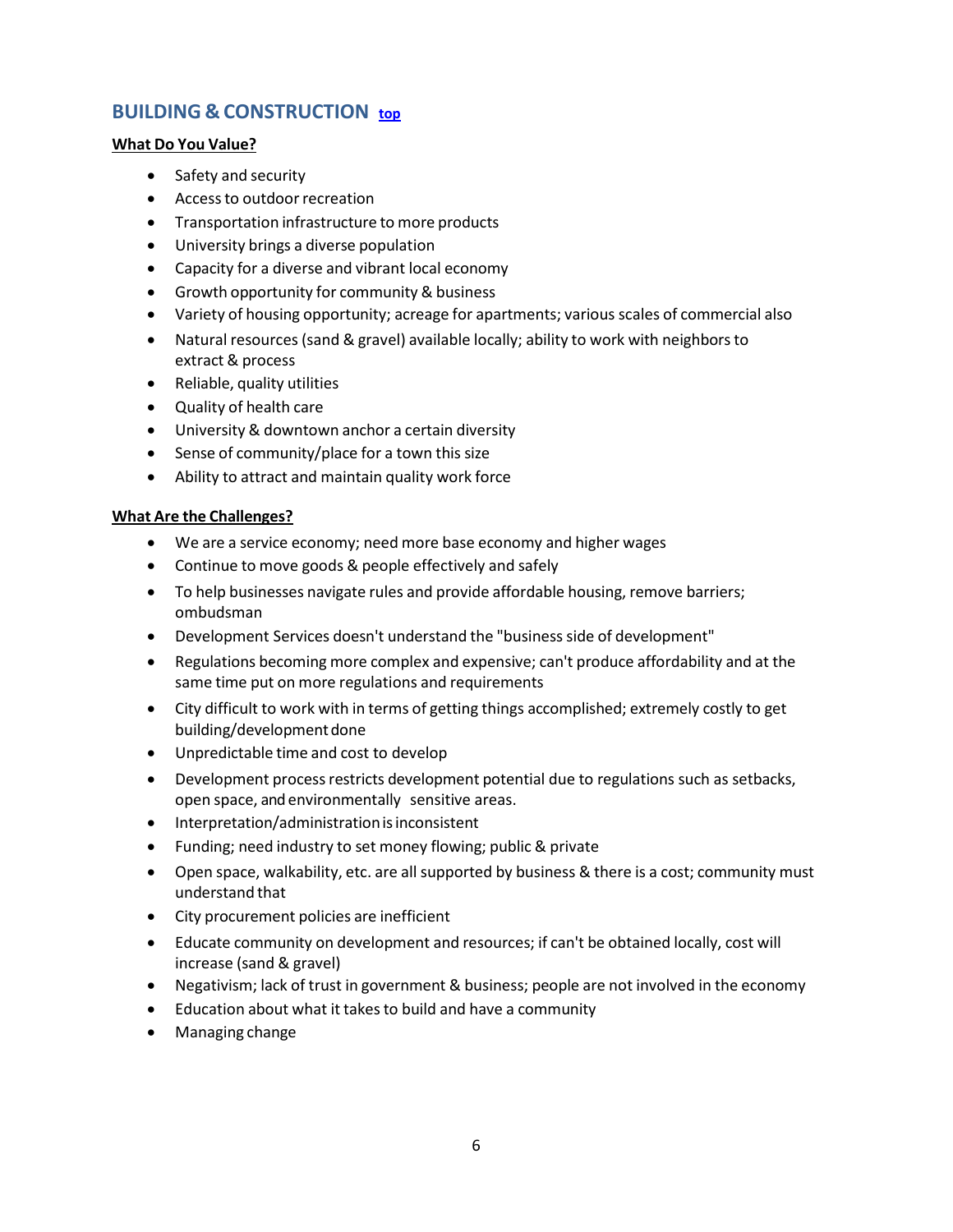# <span id="page-5-0"></span>**BUILDING & CONSTRUCTION [top](#page-0-1)**

#### **What Do You Value?**

- Safety and security
- Access to outdoor recreation
- Transportation infrastructure to more products
- University brings a diverse population
- Capacity for a diverse and vibrant local economy
- Growth opportunity for community & business
- Variety of housing opportunity; acreage for apartments; various scales of commercial also
- Natural resources (sand & gravel) available locally; ability to work with neighborsto extract & process
- Reliable, quality utilities
- Quality of health care
- University & downtown anchor a certain diversity
- Sense of community/place for a town this size
- Ability to attract and maintain quality work force

- We are a service economy; need more base economy and higher wages
- Continue to move goods & people effectively and safely
- To help businesses navigate rules and provide affordable housing, remove barriers; ombudsman
- Development Services doesn't understand the "business side of development"
- Regulations becoming more complex and expensive; can't produce affordability and at the same time put on more regulations and requirements
- City difficult to work with in terms of getting things accomplished; extremely costly to get building/development done
- Unpredictable time and cost to develop
- Development process restricts development potential due to regulations such as setbacks, open space, and environmentally sensitive areas.
- Interpretation/administration is inconsistent
- Funding; need industry to set money flowing; public & private
- Open space, walkability, etc. are all supported by business & there is a cost; community must understand that
- City procurement policies are inefficient
- Educate community on development and resources; if can't be obtained locally, cost will increase (sand & gravel)
- Negativism; lack of trust in government & business; people are not involved in the economy
- Education about what it takesto build and have a community
- Managing change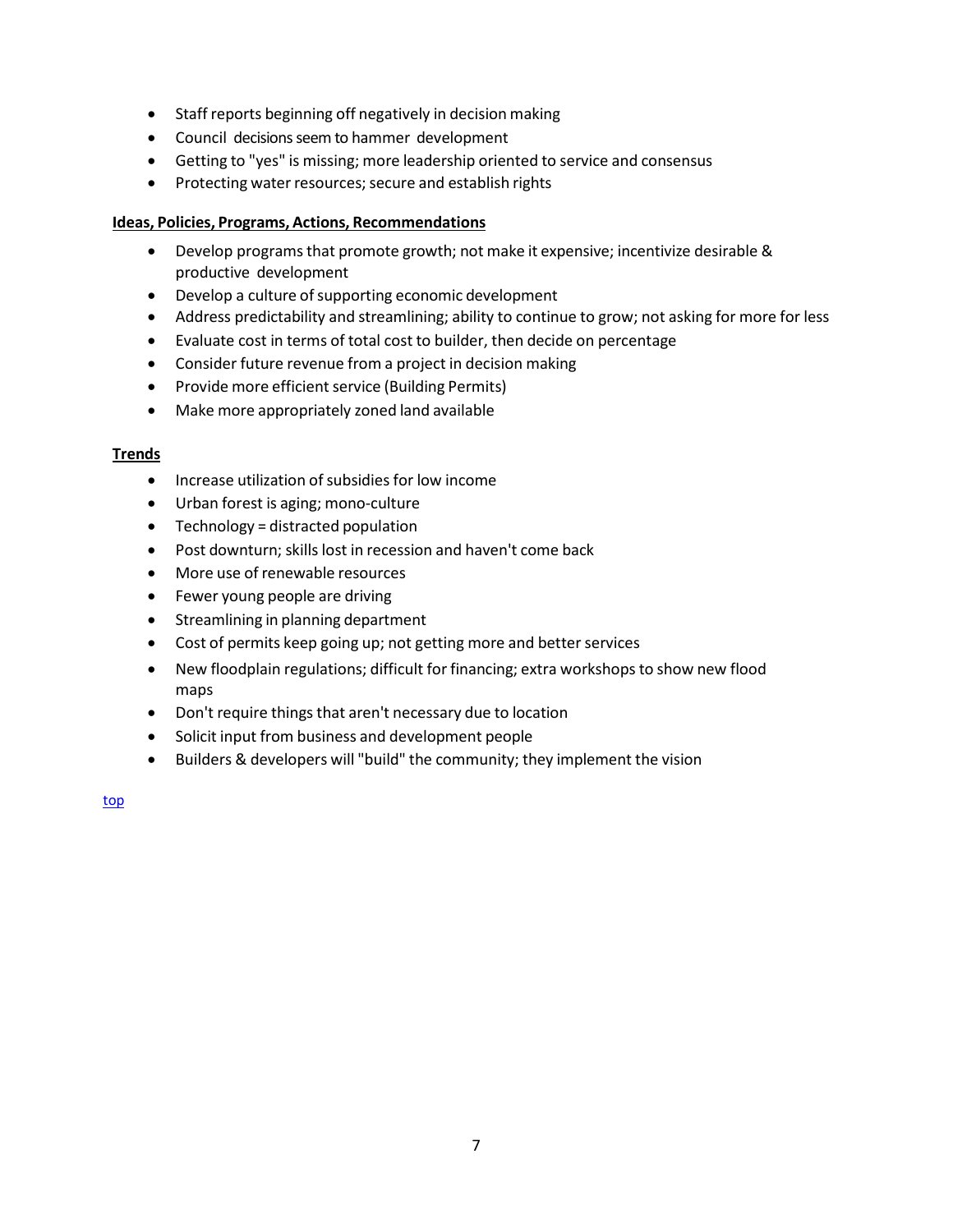- Staff reports beginning off negatively in decision making
- Council decisions seem to hammer development
- Getting to "yes" is missing; more leadership oriented to service and consensus
- Protecting water resources; secure and establish rights

- Develop programsthat promote growth; not make it expensive; incentivize desirable & productive development
- Develop a culture of supporting economic development
- Address predictability and streamlining; ability to continue to grow; not asking for more for less
- Evaluate cost in terms of total cost to builder, then decide on percentage
- Consider future revenue from a project in decision making
- Provide more efficient service (Building Permits)
- Make more appropriately zoned land available

#### **Trends**

- Increase utilization of subsidies for low income
- Urban forest is aging; mono-culture
- Technology = distracted population
- Post downturn; skills lost in recession and haven't come back
- More use of renewable resources
- Fewer young people are driving
- Streamlining in planning department
- Cost of permits keep going up; not getting more and better services
- New floodplain regulations; difficult for financing; extra workshops to show new flood maps
- Don't require things that aren't necessary due to location
- Solicit input from business and development people
- Builders & developers will "build" the community; they implement the vision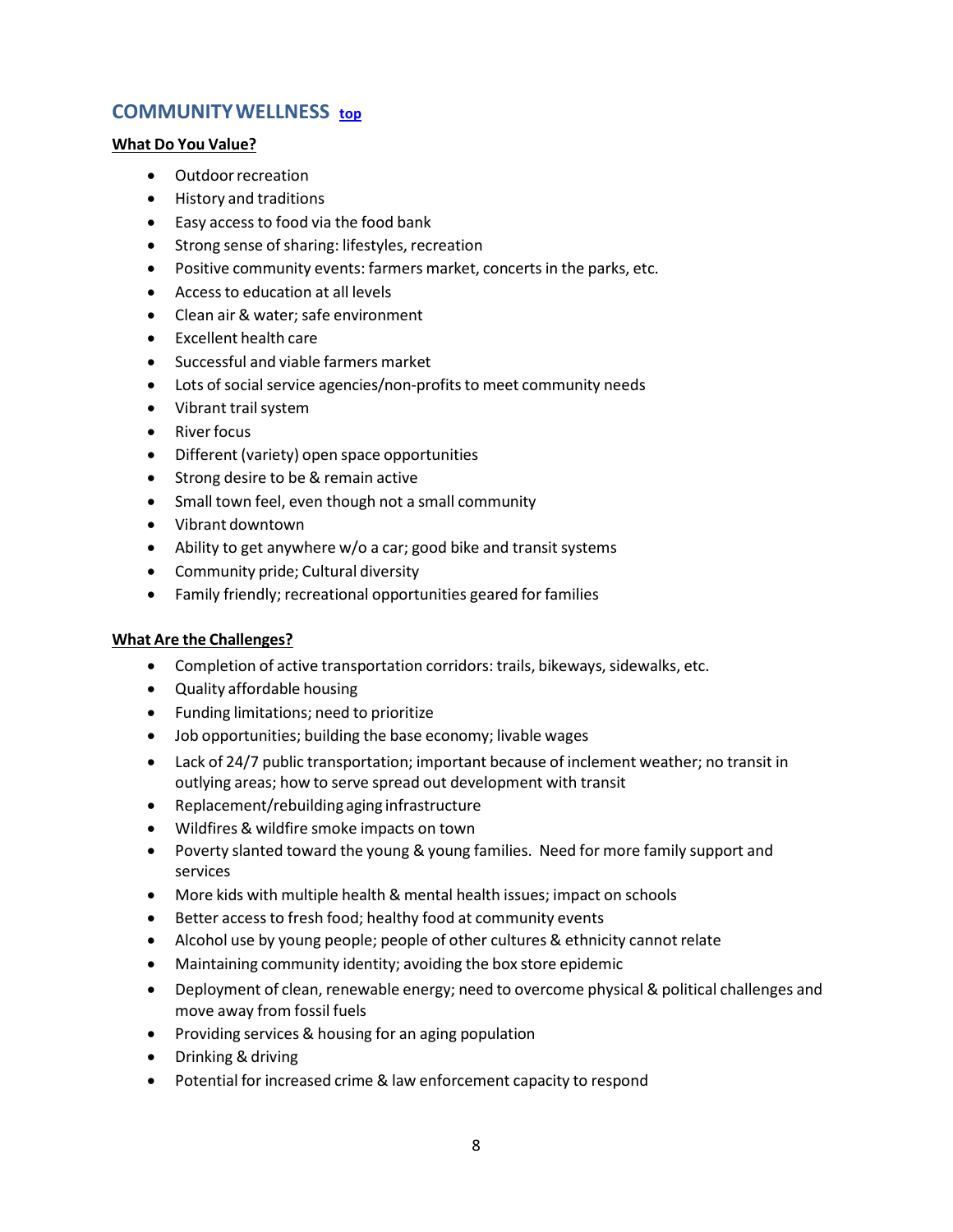# <span id="page-7-0"></span>**COMMUNITYWELLNESS [top](#page-0-1)**

#### **What Do You Value?**

- Outdoorrecreation
- History and traditions
- Easy access to food via the food bank
- Strong sense of sharing: lifestyles, recreation
- Positive community events: farmers market, concerts in the parks, etc.
- Accessto education at all levels
- Clean air & water: safe environment
- Excellent health care
- Successful and viable farmers market
- Lots of social service agencies/non-profits to meet community needs
- Vibrant trail system
- Riverfocus
- Different (variety) open space opportunities
- Strong desire to be & remain active
- Small town feel, even though not a small community
- Vibrant downtown
- Ability to get anywhere w/o a car; good bike and transit systems
- Community pride; Cultural diversity
- Family friendly; recreational opportunities geared for families

- Completion of active transportation corridors: trails, bikeways, sidewalks, etc.
- Quality affordable housing
- Funding limitations; need to prioritize
- Job opportunities; building the base economy; livable wages
- Lack of 24/7 public transportation; important because of inclement weather; no transit in outlying areas; how to serve spread out development with transit
- Replacement/rebuilding aging infrastructure
- Wildfires & wildfire smoke impacts on town
- Poverty slanted toward the young & young families. Need for more family support and services
- More kids with multiple health & mental health issues; impact on schools
- Better access to fresh food; healthy food at community events
- Alcohol use by young people; people of other cultures & ethnicity cannot relate
- Maintaining community identity; avoiding the box store epidemic
- Deployment of clean, renewable energy; need to overcome physical & political challenges and move away from fossil fuels
- Providing services & housing for an aging population
- Drinking & driving
- Potential for increased crime & law enforcement capacity to respond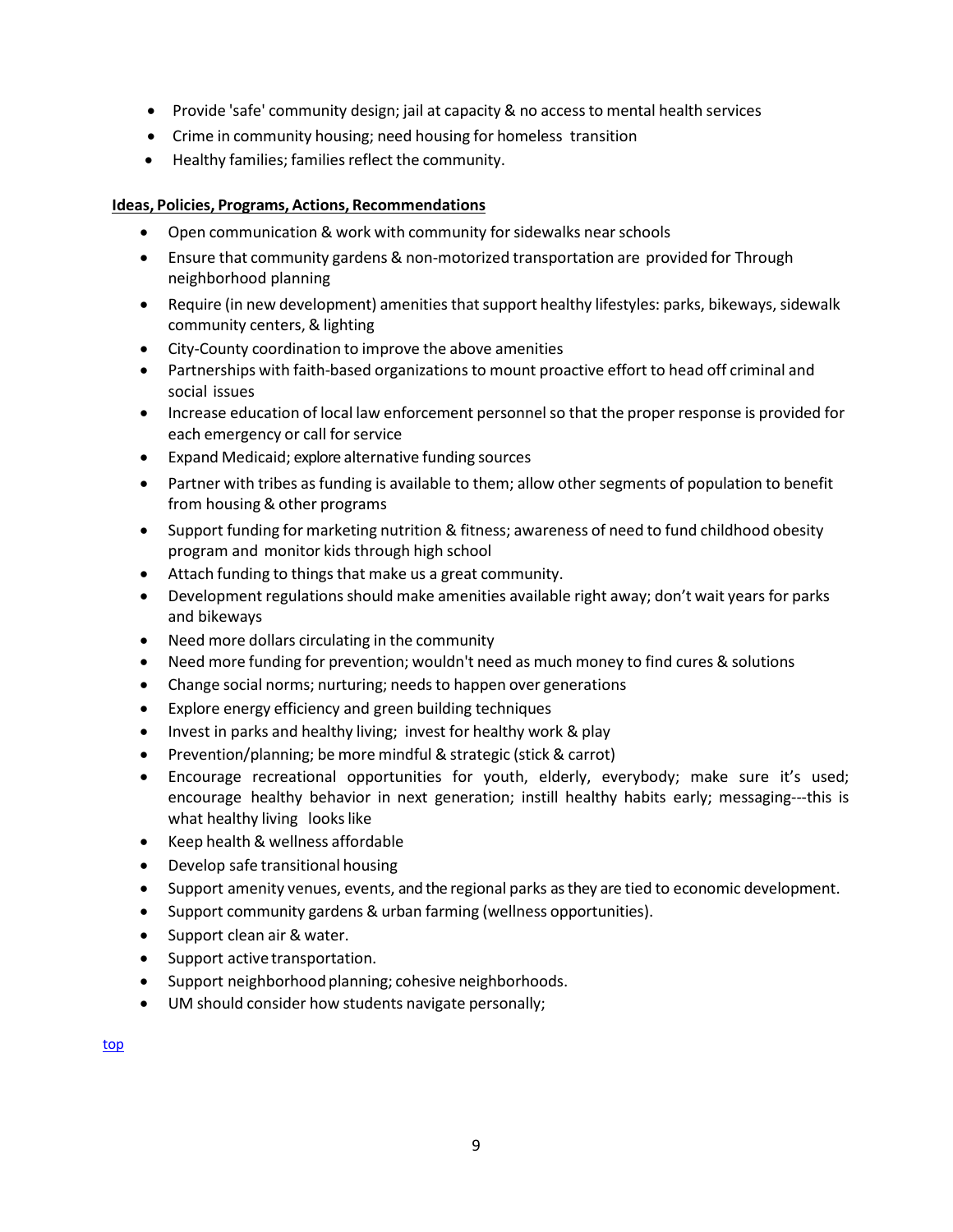- Provide 'safe' community design; jail at capacity & no accessto mental health services
- Crime in community housing; need housing for homeless transition
- Healthy families; families reflect the community.

- Open communication & work with community for sidewalks near schools
- Ensure that community gardens & non-motorized transportation are provided for Through neighborhood planning
- Require (in new development) amenities that support healthy lifestyles: parks, bikeways, sidewalk community centers, & lighting
- City-County coordination to improve the above amenities
- Partnerships with faith-based organizations to mount proactive effort to head off criminal and social issues
- Increase education of local law enforcement personnelso that the proper response is provided for each emergency or call for service
- Expand Medicaid; explore alternative funding sources
- Partner with tribes as funding is available to them; allow other segments of population to benefit from housing & other programs
- Support funding for marketing nutrition & fitness; awareness of need to fund childhood obesity program and monitor kids through high school
- Attach funding to things that make us a great community.
- Development regulations should make amenities available right away; don't wait years for parks and bikeways
- Need more dollars circulating in the community
- Need more funding for prevention; wouldn't need as much money to find cures & solutions
- Change social norms; nurturing; needs to happen over generations
- Explore energy efficiency and green building techniques
- Invest in parks and healthy living; invest for healthy work & play
- Prevention/planning; be more mindful & strategic (stick & carrot)
- Encourage recreational opportunities for youth, elderly, everybody; make sure it's used; encourage healthy behavior in next generation; instill healthy habits early; messaging---this is what healthy living looks like
- Keep health & wellness affordable
- Develop safe transitional housing
- Support amenity venues, events, and the regional parks as they are tied to economic development.
- Support community gardens & urban farming (wellness opportunities).
- Support clean air & water.
- Support active transportation.
- Support neighborhood planning; cohesive neighborhoods.
- UM should consider how students navigate personally;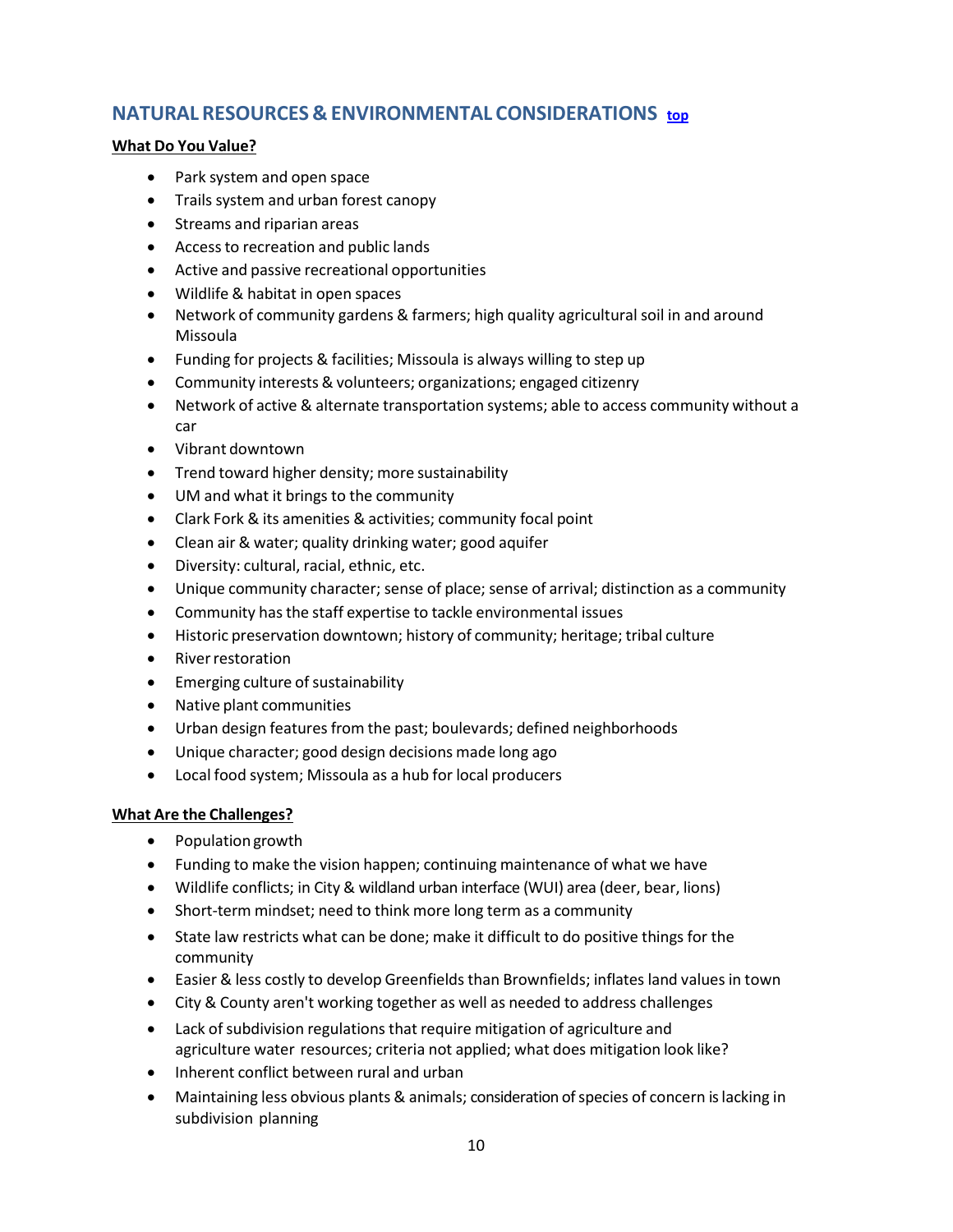# <span id="page-9-0"></span>**NATURAL RESOURCES & ENVIRONMENTAL CONSIDERATIONS [top](#page-0-1)**

#### **What Do You Value?**

- Park system and open space
- Trails system and urban forest canopy
- Streams and riparian areas
- Accessto recreation and public lands
- Active and passive recreational opportunities
- Wildlife & habitat in open spaces
- Network of community gardens & farmers; high quality agricultural soil in and around Missoula
- Funding for projects & facilities; Missoula is always willing to step up
- Community interests & volunteers; organizations; engaged citizenry
- Network of active & alternate transportation systems; able to access community without a car
- Vibrant downtown
- Trend toward higher density; more sustainability
- UM and what it brings to the community
- Clark Fork & its amenities & activities; community focal point
- Clean air & water; quality drinking water; good aquifer
- Diversity: cultural, racial, ethnic, etc.
- Unique community character; sense of place; sense of arrival; distinction as a community
- Community has the staff expertise to tackle environmental issues
- Historic preservation downtown; history of community; heritage; tribal culture
- **River restoration**
- Emerging culture of sustainability
- Native plant communities
- Urban design features from the past; boulevards; defined neighborhoods
- Unique character; good design decisions made long ago
- Local food system; Missoula as a hub for local producers

- Population growth
- Funding to make the vision happen; continuing maintenance of what we have
- Wildlife conflicts; in City & wildland urban interface (WUI) area (deer, bear, lions)
- Short-term mindset; need to think more long term as a community
- State law restricts what can be done; make it difficult to do positive things for the community
- Easier & less costly to develop Greenfields than Brownfields; inflates land values in town
- City & County aren't working together as well as needed to address challenges
- Lack of subdivision regulations that require mitigation of agriculture and agriculture water resources; criteria not applied; what does mitigation look like?
- Inherent conflict between rural and urban
- Maintaining less obvious plants & animals; consideration of species of concern is lacking in subdivision planning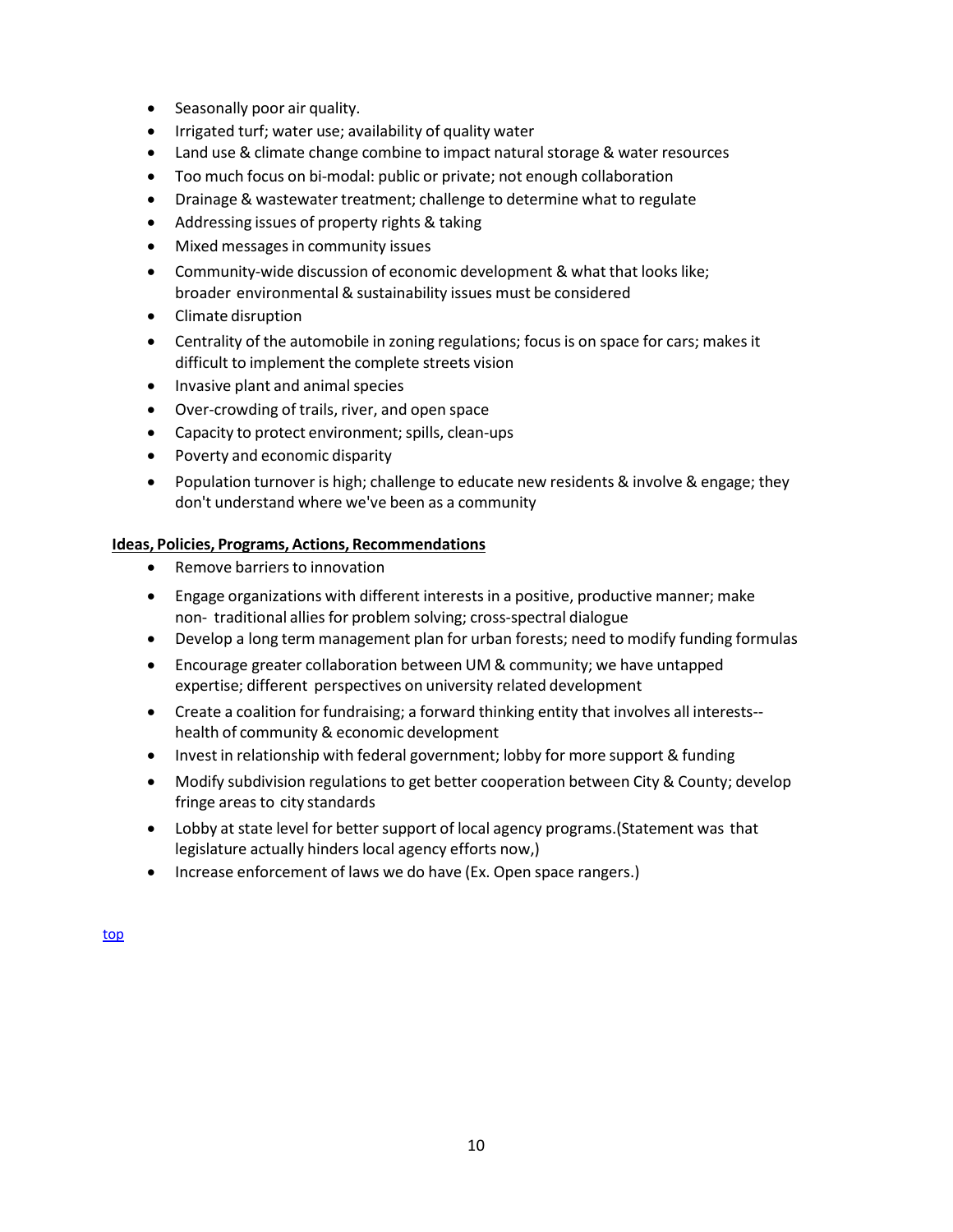- Seasonally poor air quality.
- Irrigated turf; water use; availability of quality water
- Land use & climate change combine to impact natural storage & water resources
- Too much focus on bi-modal: public or private; not enough collaboration
- Drainage & wastewater treatment; challenge to determine what to regulate
- Addressing issues of property rights & taking
- Mixed messages in community issues
- Community-wide discussion of economic development & what that looks like; broader environmental & sustainability issues must be considered
- Climate disruption
- Centrality of the automobile in zoning regulations; focus is on space for cars; makes it difficult to implement the complete streets vision
- Invasive plant and animal species
- Over-crowding of trails, river, and open space
- Capacity to protect environment; spills, clean-ups
- Poverty and economic disparity
- Population turnover is high; challenge to educate new residents & involve & engage; they don't understand where we've been as a community

- Remove barriers to innovation
- Engage organizations with different interests in a positive, productive manner; make non-traditional allies for problem solving; cross-spectral dialogue
- Develop a long term management plan for urban forests; need to modify funding formulas
- Encourage greater collaboration between UM & community; we have untapped expertise; different perspectives on university related development
- Create a coalition for fundraising; a forward thinking entity that involves all interests- health of community & economic development
- Invest in relationship with federal government; lobby for more support & funding
- Modify subdivision regulations to get better cooperation between City & County; develop fringe areas to city standards
- Lobby at state level for better support of local agency programs. (Statement was that legislature actually hinders local agency efforts now,)
- Increase enforcement of laws we do have (Ex. Open space rangers.)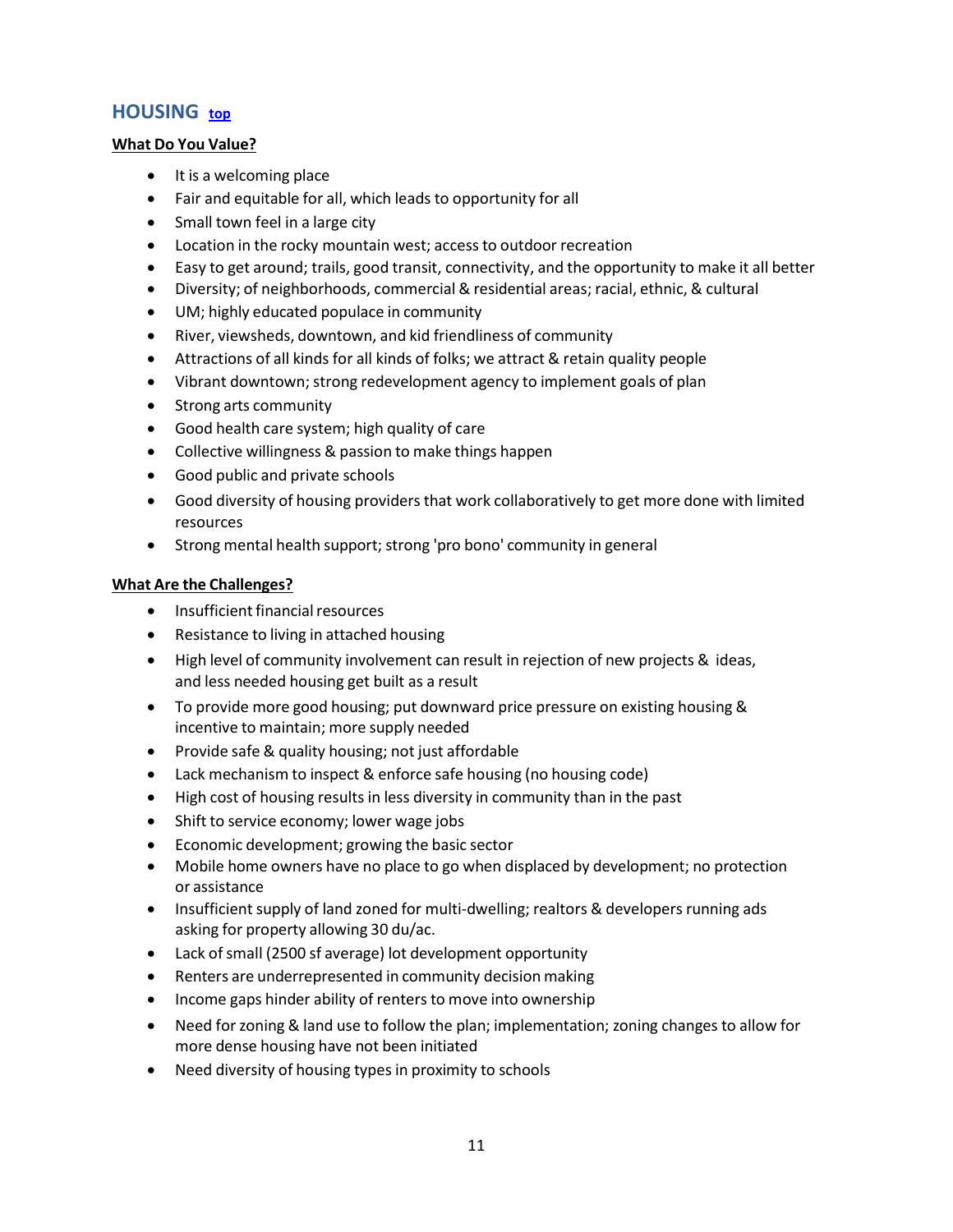# <span id="page-11-0"></span>**HOUSING [top](#page-0-1)**

#### **What Do You Value?**

- It is a welcoming place
- Fair and equitable for all, which leads to opportunity for all
- Small town feel in a large city
- Location in the rocky mountain west; access to outdoor recreation
- Easy to get around; trails, good transit, connectivity, and the opportunity to make it all better
- Diversity; of neighborhoods, commercial & residential areas; racial, ethnic, & cultural
- UM; highly educated populace in community
- River, viewsheds, downtown, and kid friendliness of community
- Attractions of all kinds for all kinds of folks; we attract & retain quality people
- Vibrant downtown;strong redevelopment agency to implement goals of plan
- Strong arts community
- Good health care system; high quality of care
- Collective willingness & passion to make things happen
- Good public and private schools
- Good diversity of housing providers that work collaboratively to get more done with limited resources
- Strong mental health support; strong 'pro bono' community in general

- Insufficient financial resources
- Resistance to living in attached housing
- High level of community involvement can result in rejection of new projects & ideas, and less needed housing get built as a result
- To provide more good housing; put downward price pressure on existing housing & incentive to maintain; more supply needed
- Provide safe & quality housing; not just affordable
- Lack mechanism to inspect & enforce safe housing (no housing code)
- High cost of housing results in less diversity in community than in the past
- Shift to service economy; lower wage jobs
- Economic development; growing the basic sector
- Mobile home owners have no place to go when displaced by development; no protection or assistance
- Insufficient supply of land zoned for multi-dwelling; realtors & developers running ads asking for property allowing 30 du/ac.
- Lack of small (2500 sf average) lot development opportunity
- Renters are underrepresented in community decision making
- Income gaps hinder ability of renters to move into ownership
- Need for zoning & land use to follow the plan; implementation; zoning changes to allow for more dense housing have not been initiated
- Need diversity of housing types in proximity to schools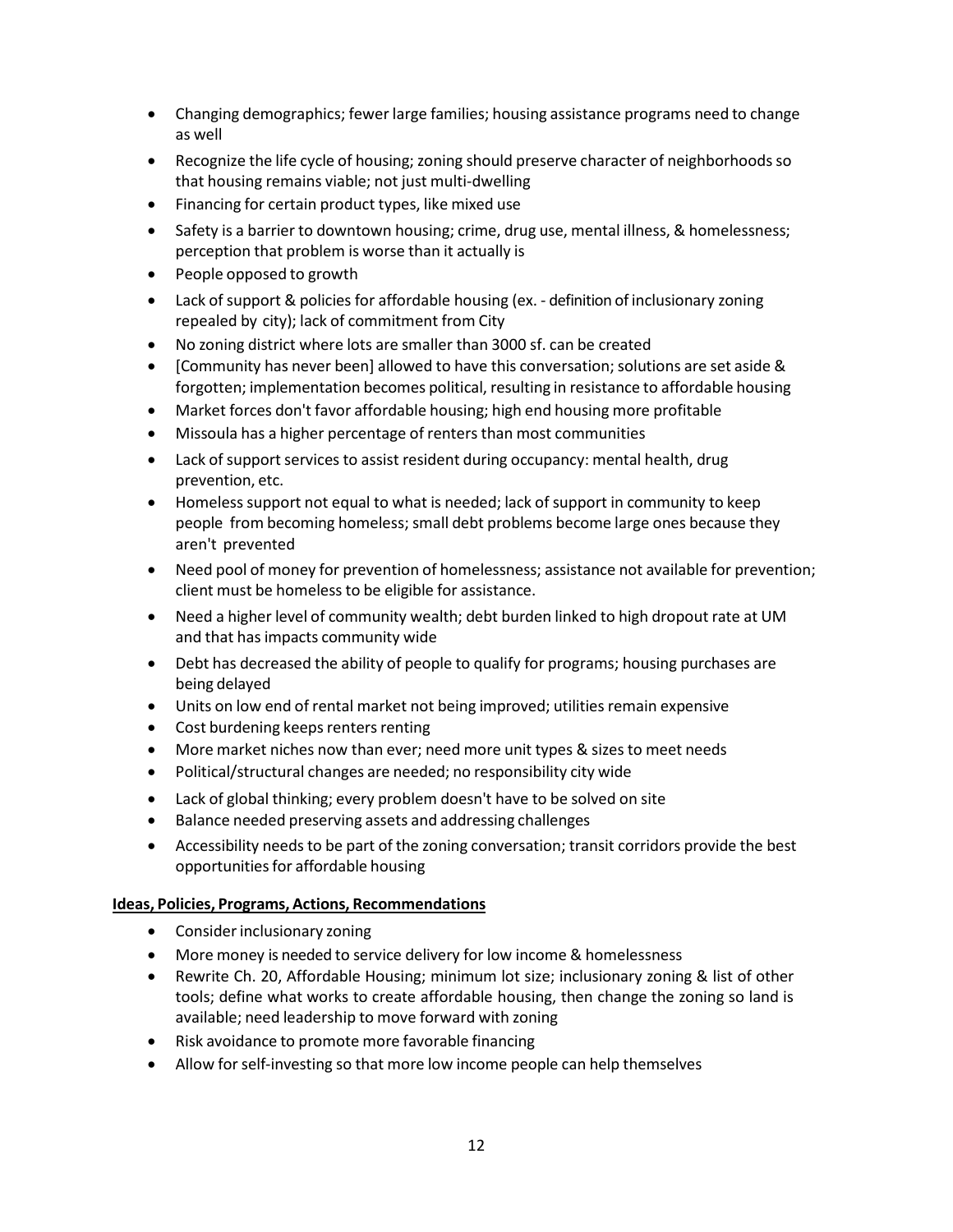- Changing demographics; fewer large families; housing assistance programs need to change as well
- Recognize the life cycle of housing; zoning should preserve character of neighborhoodsso that housing remains viable; not just multi-dwelling
- Financing for certain product types, like mixed use
- Safety is a barrier to downtown housing; crime, drug use, mental illness, & homelessness; perception that problem is worse than it actually is
- People opposed to growth
- Lack of support & policies for affordable housing (ex. definition of inclusionary zoning repealed by city); lack of commitment from City
- No zoning district where lots are smaller than 3000 sf. can be created
- [Community has never been] allowed to have this conversation; solutions are set aside & forgotten; implementation becomes political, resulting in resistance to affordable housing
- Market forces don't favor affordable housing; high end housing more profitable
- Missoula has a higher percentage of renters than most communities
- Lack of support services to assist resident during occupancy: mental health, drug prevention, etc.
- Homeless support not equal to what is needed; lack of support in community to keep people from becoming homeless; small debt problems become large ones because they aren't prevented
- Need pool of money for prevention of homelessness; assistance not available for prevention; client must be homeless to be eligible for assistance.
- Need a higher level of community wealth; debt burden linked to high dropout rate at UM and that has impacts community wide
- Debt has decreased the ability of people to qualify for programs; housing purchases are being delayed
- Units on low end of rental market not being improved; utilities remain expensive
- Cost burdening keeps renters renting
- More market niches now than ever; need more unit types & sizes to meet needs
- Political/structural changes are needed; no responsibility city wide
- Lack of global thinking; every problem doesn't have to be solved on site
- Balance needed preserving assets and addressing challenges
- Accessibility needs to be part of the zoning conversation; transit corridors provide the best opportunities for affordable housing

- Consider inclusionary zoning
- More money is needed to service delivery for low income & homelessness
- Rewrite Ch. 20, Affordable Housing; minimum lot size; inclusionary zoning & list of other tools; define what works to create affordable housing, then change the zoning so land is available; need leadership to move forward with zoning
- Risk avoidance to promote more favorable financing
- Allow for self-investing so that more low income people can help themselves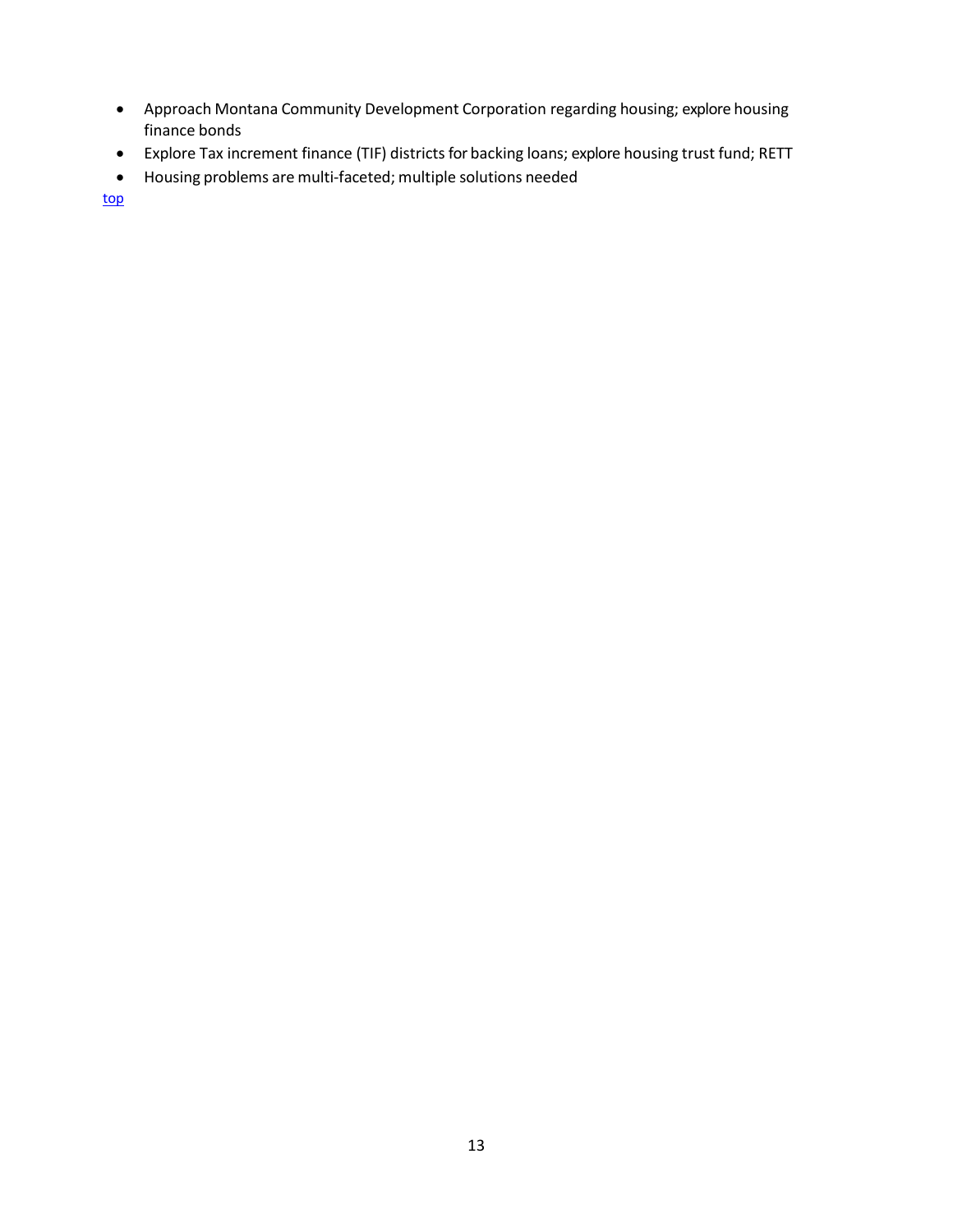- Approach Montana Community Development Corporation regarding housing; explore housing finance bonds
- Explore Tax increment finance (TIF) districts for backing loans; explore housing trust fund; RETT
- <span id="page-13-0"></span>• Housing problems are multi-faceted; multiple solutions needed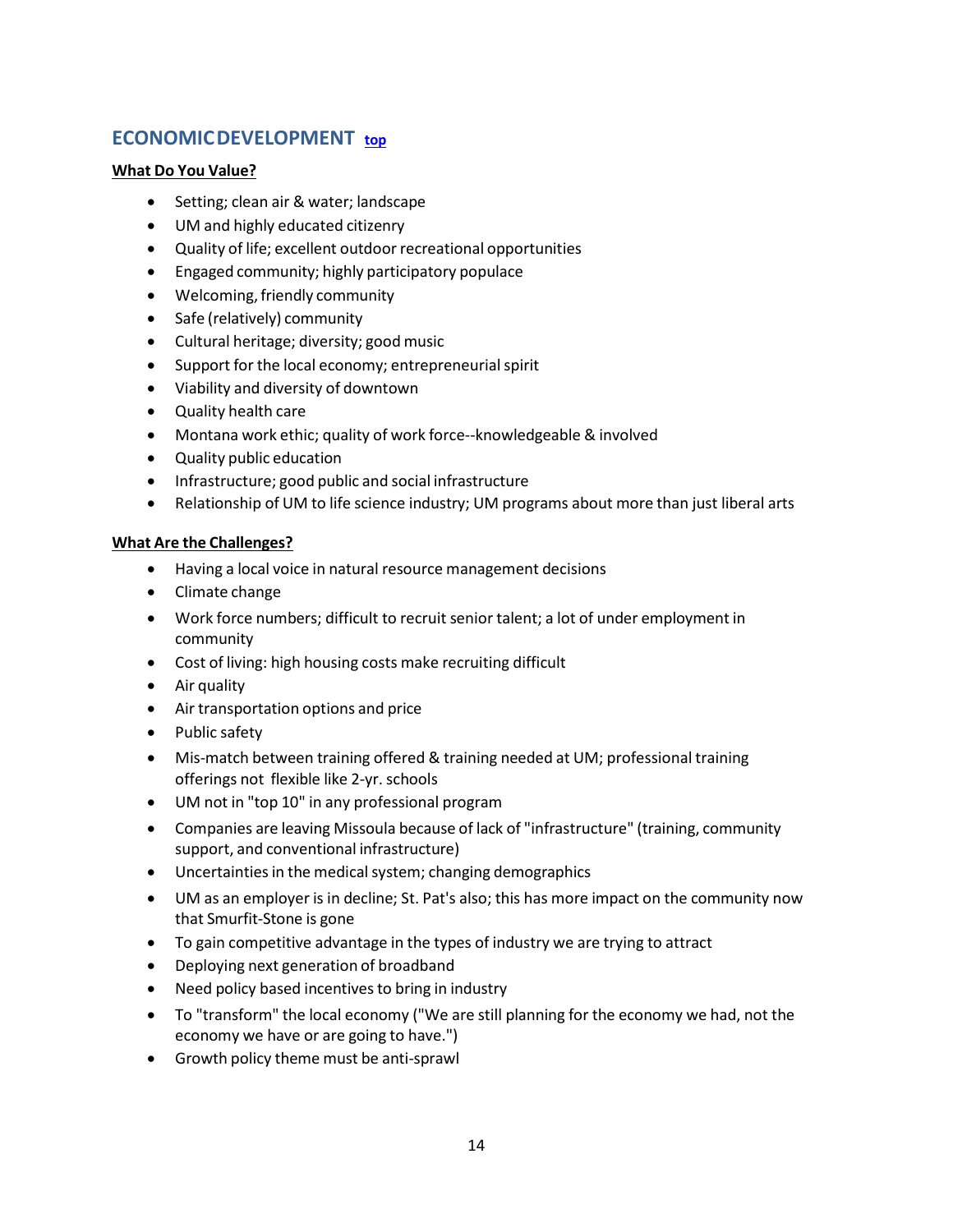# **ECONOMICDEVELOPMENT [top](#page-0-1)**

#### **What Do You Value?**

- Setting; clean air & water; landscape
- UM and highly educated citizenry
- Quality of life; excellent outdoor recreational opportunities
- Engaged community; highly participatory populace
- Welcoming, friendly community
- Safe (relatively) community
- Cultural heritage; diversity; good music
- Support for the local economy; entrepreneurial spirit
- Viability and diversity of downtown
- Quality health care
- Montana work ethic; quality of work force--knowledgeable & involved
- Quality public education
- Infrastructure; good public and social infrastructure
- Relationship of UM to life science industry; UM programs about more than just liberal arts

- Having a local voice in natural resource management decisions
- Climate change
- Work force numbers; difficult to recruit senior talent; a lot of under employment in community
- Cost of living: high housing costs make recruiting difficult
- Air quality
- Air transportation options and price
- Public safety
- Mis-match between training offered & training needed at UM; professional training offerings not flexible like 2-yr. schools
- UM not in "top 10" in any professional program
- Companies are leaving Missoula because of lack of "infrastructure" (training, community support, and conventional infrastructure)
- Uncertainties in the medical system; changing demographics
- UM as an employer is in decline; St. Pat's also; this has more impact on the community now that Smurfit-Stone is gone
- To gain competitive advantage in the types of industry we are trying to attract
- Deploying next generation of broadband
- Need policy based incentives to bring in industry
- To "transform" the local economy ("We are still planning for the economy we had, not the economy we have or are going to have.")
- Growth policy theme must be anti-sprawl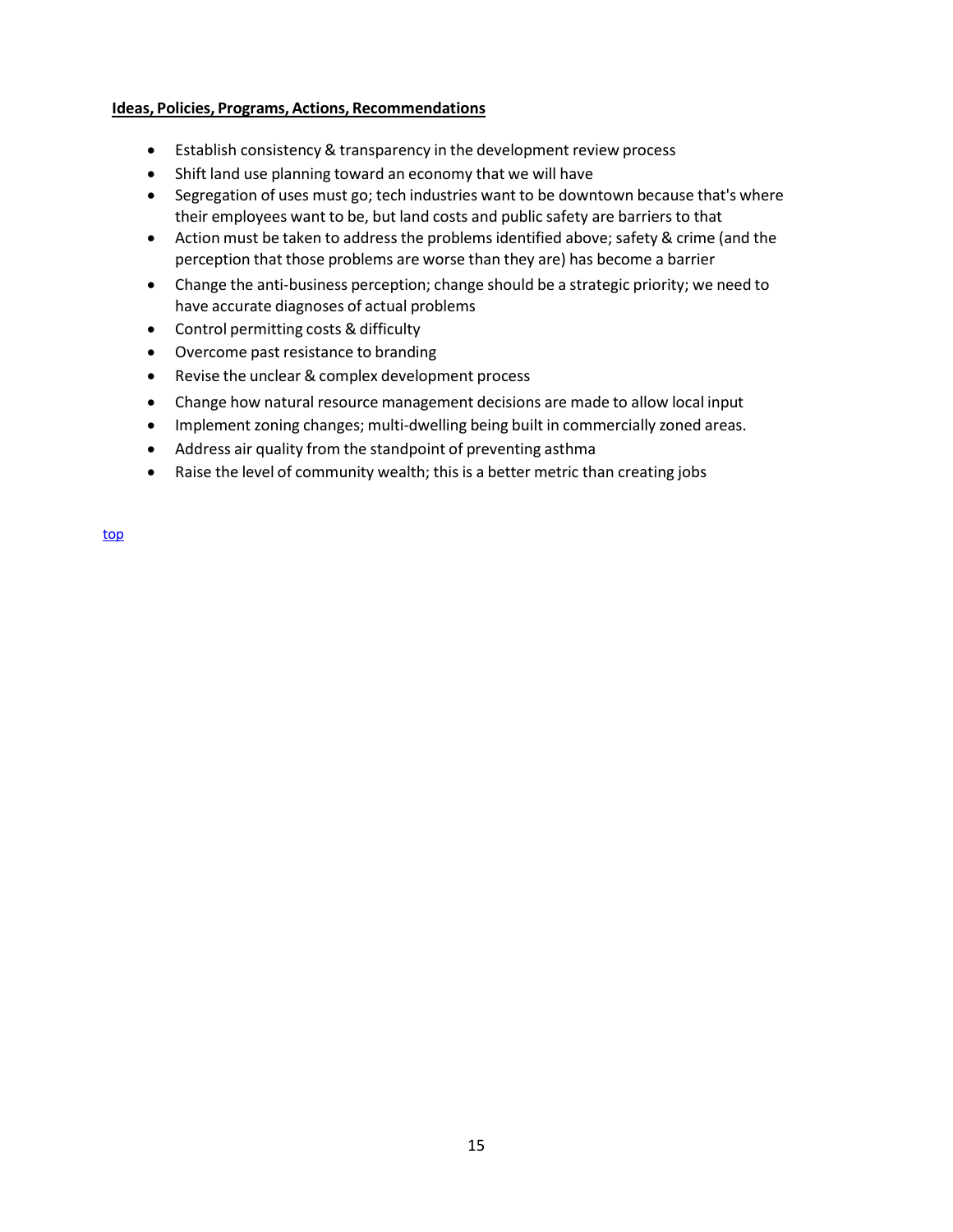- Establish consistency & transparency in the development review process
- Shift land use planning toward an economy that we will have
- Segregation of uses must go; tech industries want to be downtown because that's where their employees want to be, but land costs and public safety are barriers to that
- Action must be taken to address the problems identified above; safety & crime (and the perception that those problems are worse than they are) has become a barrier
- Change the anti-business perception; change should be a strategic priority; we need to have accurate diagnoses of actual problems
- Control permitting costs & difficulty
- Overcome past resistance to branding
- Revise the unclear & complex development process
- Change how natural resource management decisions are made to allow local input
- Implement zoning changes; multi-dwelling being built in commercially zoned areas.
- Address air quality from the standpoint of preventing asthma
- Raise the level of community wealth; this is a better metric than creating jobs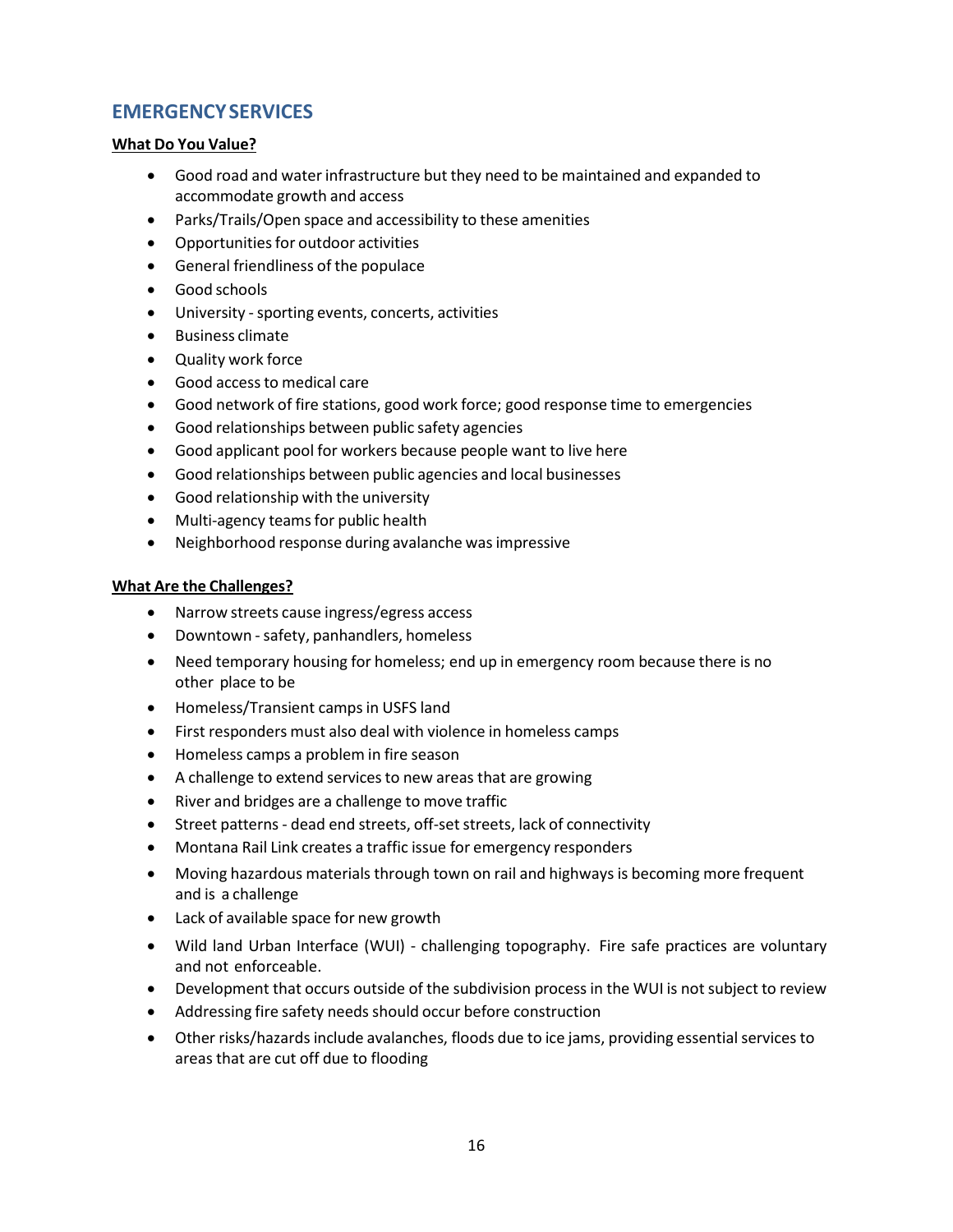# <span id="page-16-0"></span>**EMERGENCYSERVICES**

#### **What Do You Value?**

- Good road and water infrastructure but they need to be maintained and expanded to accommodate growth and access
- Parks/Trails/Open space and accessibility to these amenities
- Opportunities for outdoor activities
- General friendliness of the populace
- Good schools
- University sporting events, concerts, activities
- Business climate
- Quality work force
- Good access to medical care
- Good network of fire stations, good work force; good response time to emergencies
- Good relationships between public safety agencies
- Good applicant pool for workers because people want to live here
- Good relationships between public agencies and local businesses
- Good relationship with the university
- Multi-agency teams for public health
- Neighborhood response during avalanche was impressive

- Narrow streets cause ingress/egress access
- Downtown -safety, panhandlers, homeless
- Need temporary housing for homeless; end up in emergency room because there is no other place to be
- Homeless/Transient camps in USFS land
- First responders must also deal with violence in homeless camps
- Homeless camps a problem in fire season
- A challenge to extend services to new areas that are growing
- River and bridges are a challenge to move traffic
- Street patterns dead end streets, off-set streets, lack of connectivity
- Montana Rail Link creates a traffic issue for emergency responders
- Moving hazardous materials through town on rail and highways is becoming more frequent and is a challenge
- Lack of available space for new growth
- Wild land Urban Interface (WUI) challenging topography. Fire safe practices are voluntary and not enforceable.
- Development that occurs outside of the subdivision process in the WUI is not subject to review
- Addressing fire safety needs should occur before construction
- Other risks/hazards include avalanches, floods due to ice jams, providing essential services to areas that are cut off due to flooding